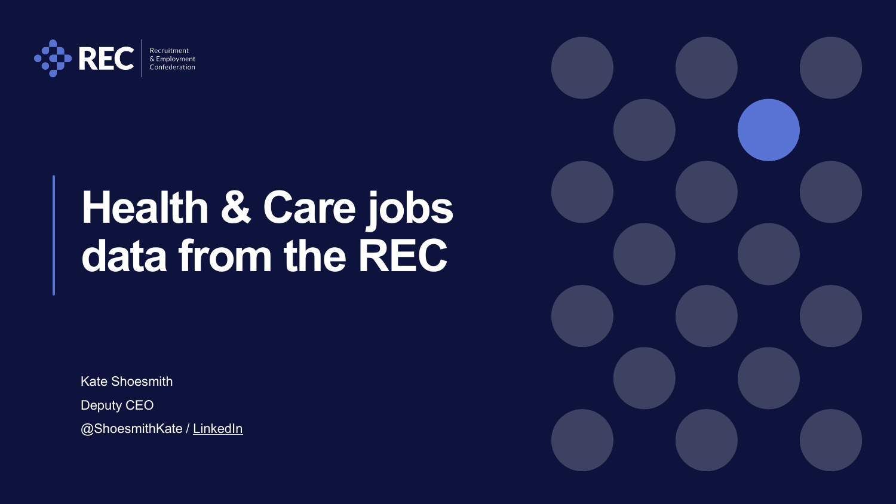

& Employment Confederation

# **Health & Care jobs data from the REC**

Kate Shoesmith

Deputy CEO

@ShoesmithKate / [LinkedIn](https://www.linkedin.com/in/kate-shoesmith-93039722/)

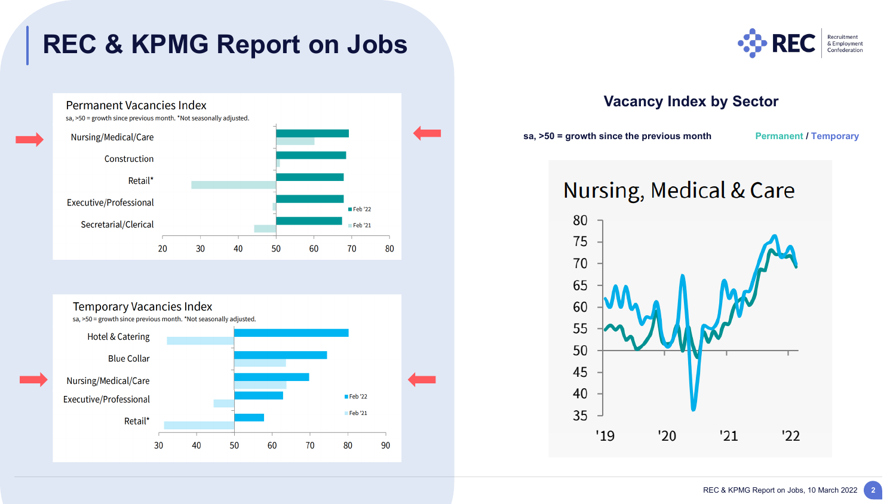# **REC & KPMG Report on Jobs**







#### **Vacancy Index by Sector**

sa, >50 = growth since the previous month Permanent / Temporary



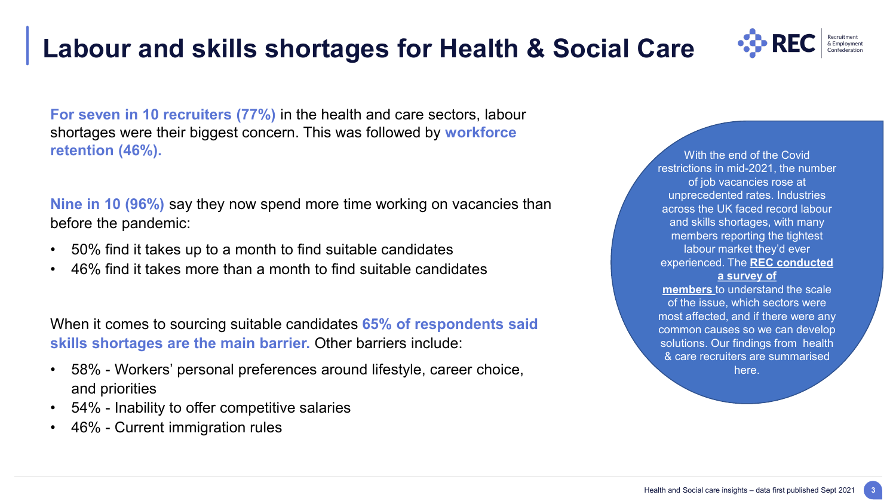**3**

## **Labour and skills shortages for Health & Social Care**

**For seven in 10 recruiters (77%)** in the health and care sectors, labour shortages were their biggest concern. This was followed by **workforce retention (46%).**

**Nine in 10 (96%)** say they now spend more time working on vacancies than before the pandemic:

- 50% find it takes up to a month to find suitable candidates
- 46% find it takes more than a month to find suitable candidates

When it comes to sourcing suitable candidates **65% of respondents said skills shortages are the main barrier.** Other barriers include:

- 58% Workers' personal preferences around lifestyle, career choice, and priorities
- 54% Inability to offer competitive salaries
- 46% Current immigration rules

With the end of the Covid restrictions in mid-2021, the number of job vacancies rose at unprecedented rates. Industries across the UK faced record labour and skills shortages, with many members reporting the tightest labour market they'd ever experienced. The **REC conducted a survey of members** to [understand the scale](https://www.rec.uk.com/our-view/policy-and-campaigns/labour-shortages?&q=&category=7612&sortBy=Most%20popular&page=1)  of the issue, which sectors were

most affected, and if there were any common causes so we can develop solutions. Our findings from health & care recruiters are summarised here.